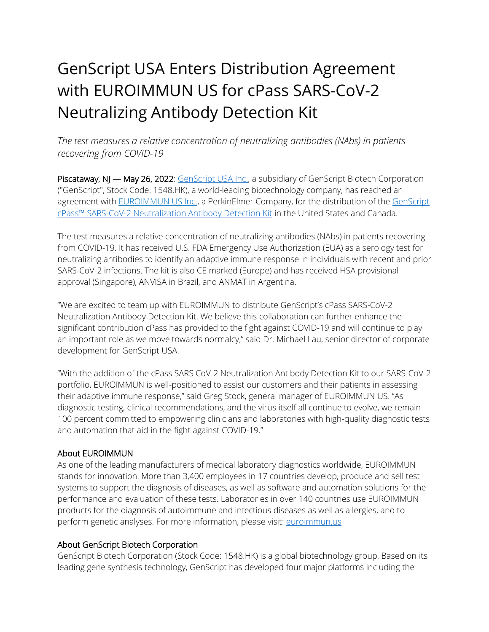## GenScript USA Enters Distribution Agreement with EUROIMMUN US for cPass SARS-CoV-2 Neutralizing Antibody Detection Kit

*The test measures a relative concentration of neutralizing antibodies (NAbs) in patients recovering from COVID-19*

Piscataway, NJ - May 26, 2022: [GenScript USA](https://cts.businesswire.com/ct/CT?id=smartlink&url=http%3A%2F%2Fwww.genscript.com&esheet=52411267&newsitemid=20210413006175&lan=en-US&anchor=GenScript+Biotech+%28Netherlands%29+BV&index=1&md5=2418066d4d4703aee4bb4c9dcd588a1b) Inc., a subsidiary of GenScript Biotech Corporation ("GenScript", Stock Code: 1548.HK), a world-leading biotechnology company, has reached an agreement with **EUROIMMUN US Inc., a PerkinElmer Company**, for the distribution of the GenScript cPass™ SARS[-CoV-2 Neutralization Antibody Detection Kit](https://cts.businesswire.com/ct/CT?id=smartlink&url=https%3A%2F%2Fwww.genscript.com%2Fcovid-19-detection-cpass.html&esheet=52411267&newsitemid=20210413006175&lan=en-US&anchor=GenScript+cPass%26%238482%3B+SARS-CoV-2+Neutralization+Antibody+Detection+Kit&index=3&md5=c537dad08735b04a331d140fa6c22482) in the United States and Canada.

The test measures a relative concentration of neutralizing antibodies (NAbs) in patients recovering from COVID-19. It has received U.S. FDA Emergency Use Authorization (EUA) as a serology test for neutralizing antibodies to identify an adaptive immune response in individuals with recent and prior SARS-CoV-2 infections. The kit is also CE marked (Europe) and has received HSA provisional approval (Singapore), ANVISA in Brazil, and ANMAT in Argentina.

"We are excited to team up with EUROIMMUN to distribute GenScript's cPass SARS-CoV-2 Neutralization Antibody Detection Kit. We believe this collaboration can further enhance the significant contribution cPass has provided to the fight against COVID-19 and will continue to play an important role as we move towards normalcy," said Dr. Michael Lau, senior director of corporate development for GenScript USA.

"With the addition of the cPass SARS CoV-2 Neutralization Antibody Detection Kit to our SARS-CoV-2 portfolio, EUROIMMUN is well-positioned to assist our customers and their patients in assessing their adaptive immune response," said Greg Stock, general manager of EUROIMMUN US. "As diagnostic testing, clinical recommendations, and the virus itself all continue to evolve, we remain 100 percent committed to empowering clinicians and laboratories with high-quality diagnostic tests and automation that aid in the fight against COVID-19."

## About EUROIMMUN

As one of the leading manufacturers of medical laboratory diagnostics worldwide, EUROIMMUN stands for innovation. More than 3,400 employees in 17 countries develop, produce and sell test systems to support the diagnosis of diseases, as well as software and automation solutions for the performance and evaluation of these tests. Laboratories in over 140 countries use EUROIMMUN products for the diagnosis of autoimmune and infectious diseases as well as allergies, and to perform genetic analyses. For more information, please visit: [euroimmun.us](https://www.euroimmun.us/)

## About GenScript Biotech Corporation

GenScript Biotech Corporation (Stock Code: 1548.HK) is a global biotechnology group. Based on its leading gene synthesis technology, GenScript has developed four major platforms including the